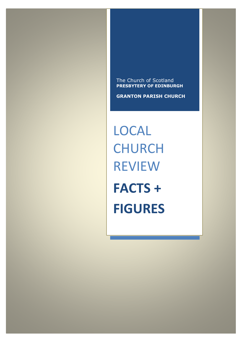The Church of Scotland **PRESBYTERY OF EDINBURGH**

**GRANTON PARISH CHURCH**

LOCAL **CHURCH** REVIEW **FACTS + FIGURES**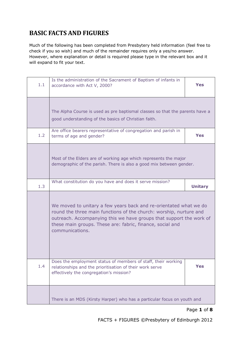## **BASIC FACTS AND FIGURES**

Much of the following has been completed from Presbytery held information (feel free to check if you so wish) and much of the remainder requires only a yes/no answer. However, where explanation or detail is required please type in the relevant box and it will expand to fit your text.

| 1.1 | Is the administration of the Sacrament of Baptism of infants in<br>accordance with Act V, 2000?                                                                                                                                                                                                | Yes            |
|-----|------------------------------------------------------------------------------------------------------------------------------------------------------------------------------------------------------------------------------------------------------------------------------------------------|----------------|
|     | The Alpha Course is used as pre baptismal classes so that the parents have a<br>good understanding of the basics of Christian faith.                                                                                                                                                           |                |
| 1.2 | Are office bearers representative of congregation and parish in<br>terms of age and gender?                                                                                                                                                                                                    | <b>Yes</b>     |
|     | Most of the Elders are of working age which represents the major<br>demographic of the parish. There is also a good mix between gender.                                                                                                                                                        |                |
| 1.3 | What constitution do you have and does it serve mission?                                                                                                                                                                                                                                       | <b>Unitary</b> |
|     | We moved to unitary a few years back and re-orientated what we do<br>round the three main functions of the church: worship, nurture and<br>outreach. Accompanying this we have groups that support the work of<br>these main groups. These are: fabric, finance, social and<br>communications. |                |
| 1.4 | Does the employment status of members of staff, their working<br>relationships and the prioritisation of their work serve<br>effectively the congregation's mission?                                                                                                                           | <b>Yes</b>     |
|     | There is an MDS (Kirsty Harper) who has a particular focus on youth and                                                                                                                                                                                                                        |                |

### Page **1** of **8**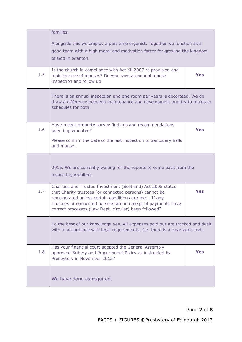|     | families.<br>Alongside this we employ a part time organist. Together we function as a<br>good team with a high moral and motivation factor for growing the kingdom<br>of God in Granton.                                                                                                                 |            |
|-----|----------------------------------------------------------------------------------------------------------------------------------------------------------------------------------------------------------------------------------------------------------------------------------------------------------|------------|
| 1.5 | Is the church in compliance with Act XII 2007 re provision and<br>maintenance of manses? Do you have an annual manse<br>inspection and follow up                                                                                                                                                         | <b>Yes</b> |
|     | There is an annual inspection and one room per years is decorated. We do<br>draw a difference between maintenance and development and try to maintain<br>schedules for both.                                                                                                                             |            |
| 1.6 | Have recent property survey findings and recommendations<br>been implemented?                                                                                                                                                                                                                            | <b>Yes</b> |
|     | Please confirm the date of the last inspection of Sanctuary halls<br>and manse.                                                                                                                                                                                                                          |            |
|     | 2015. We are currently waiting for the reports to come back from the<br>inspecting Architect.                                                                                                                                                                                                            |            |
| 1.7 | Charities and Trustee Investment (Scotland) Act 2005 states<br>that Charity trustees (or connected persons) cannot be<br>remunerated unless certain conditions are met. If any<br>Trustees or connected persons are in receipt of payments have<br>correct processes (Law Dept. circular) been followed? | <b>Yes</b> |
|     | To the best of our knowledge yes. All expenses paid out are tracked and dealt<br>with in accordance with legal requirements. I.e. there is a clear audit trail.                                                                                                                                          |            |
| 1.8 | Has your financial court adopted the General Assembly<br>approved Bribery and Procurement Policy as instructed by<br>Presbytery in November 2012?                                                                                                                                                        | <b>Yes</b> |
|     | We have done as required.                                                                                                                                                                                                                                                                                |            |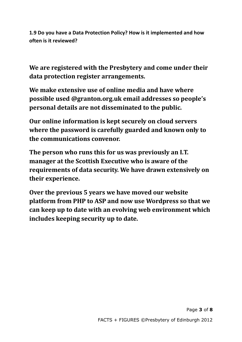**1.9 Do you have a Data Protection Policy? How is it implemented and how often is it reviewed?**

**We are registered with the Presbytery and come under their data protection register arrangements.** 

**We make extensive use of online media and have where possible used @granton.org.uk email addresses so people's personal details are not disseminated to the public.** 

**Our online information is kept securely on cloud servers where the password is carefully guarded and known only to the communications convenor.** 

**The person who runs this for us was previously an I.T. manager at the Scottish Executive who is aware of the requirements of data security. We have drawn extensively on their experience.** 

**Over the previous 5 years we have moved our website platform from PHP to ASP and now use Wordpress so that we can keep up to date with an evolving web environment which includes keeping security up to date.**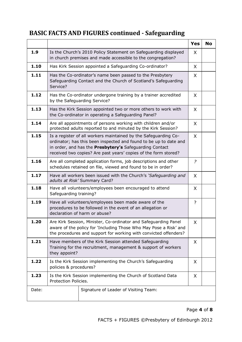# **BASIC FACTS AND FIGURES continued - Safeguarding**

|       |                                                                                                                                                                                                                                                                    |                                                                                                                             | <b>Yes</b>     | <b>No</b> |  |
|-------|--------------------------------------------------------------------------------------------------------------------------------------------------------------------------------------------------------------------------------------------------------------------|-----------------------------------------------------------------------------------------------------------------------------|----------------|-----------|--|
| 1.9   | Is the Church's 2010 Policy Statement on Safeguarding displayed<br>in church premises and made accessible to the congregation?                                                                                                                                     | X                                                                                                                           |                |           |  |
| 1.10  | Has Kirk Session appointed a Safeguarding Co-ordinator?                                                                                                                                                                                                            |                                                                                                                             | X              |           |  |
| 1.11  | Service?                                                                                                                                                                                                                                                           | Has the Co-ordinator's name been passed to the Presbytery<br>Safeguarding Contact and the Church of Scotland's Safeguarding |                |           |  |
| 1.12  | Has the Co-ordinator undergone training by a trainer accredited<br>by the Safeguarding Service?                                                                                                                                                                    |                                                                                                                             | X              |           |  |
| 1.13  | Has the Kirk Session appointed two or more others to work with<br>the Co-ordinator in operating a Safeguarding Panel?                                                                                                                                              |                                                                                                                             | X              |           |  |
| 1.14  | Are all appointments of persons working with children and/or<br>protected adults reported to and minuted by the Kirk Session?                                                                                                                                      |                                                                                                                             | X              |           |  |
| 1.15  | Is a register of all workers maintained by the Safeguarding Co-<br>ordinator; has this been inspected and found to be up to date and<br>in order, and has the Presbytery's Safeguarding Contact<br>received two copies? Are past years' copies of the form stored? |                                                                                                                             | X              |           |  |
| 1.16  | Are all completed application forms, job descriptions and other<br>schedules retained on file, viewed and found to be in order?                                                                                                                                    |                                                                                                                             | $\overline{?}$ |           |  |
| 1.17  | Have all workers been issued with the Church's 'Safeguarding and<br>adults at Risk' Summary Card?                                                                                                                                                                  | X                                                                                                                           |                |           |  |
| 1.18  | Have all volunteers/employees been encouraged to attend<br>Safeguarding training?                                                                                                                                                                                  |                                                                                                                             |                |           |  |
| 1.19  | Have all volunteers/employees been made aware of the<br>procedures to be followed in the event of an allegation or<br>declaration of harm or abuse?                                                                                                                |                                                                                                                             |                |           |  |
| 1.20  | Are Kirk Session, Minister, Co-ordinator and Safeguarding Panel<br>aware of the policy for 'Including Those Who May Pose a Risk' and<br>the procedures and support for working with convicted offenders?                                                           |                                                                                                                             | X              |           |  |
| 1.21  | Have members of the Kirk Session attended Safeguarding<br>Training for the recruitment, management & support of workers<br>they appoint?                                                                                                                           |                                                                                                                             |                |           |  |
| 1.22  | Is the Kirk Session implementing the Church's Safeguarding<br>X<br>policies & procedures?                                                                                                                                                                          |                                                                                                                             |                |           |  |
| 1.23  | Is the Kirk Session implementing the Church of Scotland Data<br>Protection Policies.                                                                                                                                                                               |                                                                                                                             |                |           |  |
| Date: | Signature of Leader of Visiting Team:                                                                                                                                                                                                                              |                                                                                                                             |                |           |  |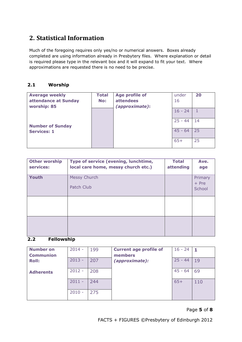## **2. Statistical Information**

Much of the foregoing requires only yes/no or numerical answers. Boxes already completed are using information already in Presbytery files. Where explanation or detail is required please type in the relevant box and it will expand to fit your text. Where approximations are requested there is no need to be precise.

### **2.1 Worship**

| <b>Average weekly</b>   | <b>Total</b> | <b>Age profile of</b> | under     | 20 |
|-------------------------|--------------|-----------------------|-----------|----|
| attendance at Sunday    | No:          | <b>attendees</b>      | 16        |    |
| worship: 85             |              | (approximate):        |           |    |
|                         |              |                       | $16 - 24$ |    |
|                         |              |                       |           |    |
|                         |              |                       | $25 - 44$ | 14 |
| <b>Number of Sunday</b> |              |                       |           |    |
| <b>Services: 1</b>      |              |                       | $45 - 64$ | 25 |
|                         |              |                       |           |    |
|                         |              |                       | $65+$     | 25 |
|                         |              |                       |           |    |

| <b>Other worship</b><br>services: | Type of service (evening, lunchtime,<br>local care home, messy church etc.) | <b>Total</b><br>attending | Ave.<br>age                  |
|-----------------------------------|-----------------------------------------------------------------------------|---------------------------|------------------------------|
| <b>Youth</b>                      | Messy Church<br>Patch Club                                                  |                           | Primary<br>$+ Pre$<br>School |
|                                   |                                                                             |                           |                              |
|                                   |                                                                             |                           |                              |

## **2.2 Fellowship**

| <b>Number on</b><br><b>Communion</b> | $2014 -$ | 199 | <b>Current age profile of</b><br>members | $16 - 24$ |     |
|--------------------------------------|----------|-----|------------------------------------------|-----------|-----|
| <b>Roll:</b>                         | $2013 -$ | 207 | (approximate):                           | $25 - 44$ | 19  |
| <b>Adherents</b>                     | $2012 -$ | 208 |                                          | $45 - 64$ | 69  |
|                                      | 2011     | 244 |                                          | $65+$     | 110 |
|                                      | $2010 -$ | 275 |                                          |           |     |

#### Page **5** of **8**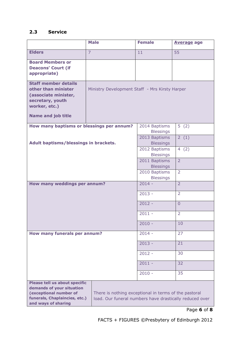## **2.3 Service**

|                                                                                                                                                                                                                                                                  | <b>Male</b>                                    | <b>Female</b>                     | <b>Average age</b> |
|------------------------------------------------------------------------------------------------------------------------------------------------------------------------------------------------------------------------------------------------------------------|------------------------------------------------|-----------------------------------|--------------------|
| <b>Elders</b>                                                                                                                                                                                                                                                    | $\overline{7}$                                 | 11                                | 55                 |
| <b>Board Members or</b><br><b>Deacons' Court (if</b><br>appropriate)                                                                                                                                                                                             |                                                |                                   |                    |
| <b>Staff member details</b><br>other than minister<br>(associate minister,<br>secretary, youth<br>worker, etc.)<br><b>Name and job title</b>                                                                                                                     | Ministry Development Staff - Mrs Kirsty Harper |                                   |                    |
| How many baptisms or blessings per annum?                                                                                                                                                                                                                        |                                                | 2014 Baptisms<br><b>Blessings</b> | 5(2)               |
| Adult baptisms/blessings in brackets.                                                                                                                                                                                                                            |                                                | 2013 Baptisms<br><b>Blessings</b> | 2(1)               |
|                                                                                                                                                                                                                                                                  |                                                | 2012 Baptisms<br><b>Blessings</b> | 4(2)               |
|                                                                                                                                                                                                                                                                  |                                                | 2011 Baptisms<br><b>Blessings</b> | $\overline{2}$     |
|                                                                                                                                                                                                                                                                  |                                                | 2010 Baptisms<br><b>Blessings</b> | $\overline{2}$     |
| How many weddings per annum?                                                                                                                                                                                                                                     |                                                | $2014 -$                          | $\overline{2}$     |
|                                                                                                                                                                                                                                                                  |                                                | $2013 -$                          | $\overline{2}$     |
|                                                                                                                                                                                                                                                                  |                                                | $2012 -$                          | $\overline{0}$     |
|                                                                                                                                                                                                                                                                  |                                                | $2011 -$                          | $\overline{2}$     |
|                                                                                                                                                                                                                                                                  |                                                | $2010 -$                          | 10                 |
| How many funerals per annum?                                                                                                                                                                                                                                     |                                                | $2014 -$                          | 27                 |
|                                                                                                                                                                                                                                                                  |                                                | $2013 -$                          | 21                 |
|                                                                                                                                                                                                                                                                  |                                                | $2012 -$                          | 30                 |
|                                                                                                                                                                                                                                                                  |                                                | $2011 -$                          | 32                 |
|                                                                                                                                                                                                                                                                  |                                                | $2010 -$                          | 35                 |
| Please tell us about specific<br>demands of your situation<br>(exceptional number of<br>There is nothing exceptional in terms of the pastoral<br>funerals, Chaplaincies, etc.)<br>load. Our funeral numbers have drastically reduced over<br>and ways of sharing |                                                |                                   |                    |

Page **6** of **8**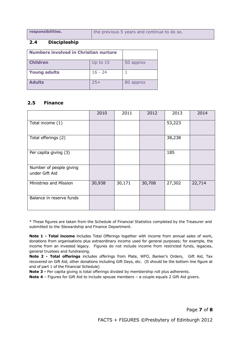**responsibilities.** the previous 5 years and continue to do so.

#### **2.4 Discipleship**

| <b>Numbers involved in Christian nurture</b> |            |           |
|----------------------------------------------|------------|-----------|
| <b>Children</b>                              | Up to $15$ | 50 approx |
| <b>Young adults</b>                          | $16 - 24$  |           |
| <b>Adults</b>                                | $25+$      | 80 approx |

#### **2.5 Finance**

|                                           | 2010   | 2011   | 2012   | 2013   | 2014   |
|-------------------------------------------|--------|--------|--------|--------|--------|
| Total income (1)                          |        |        |        | 53,223 |        |
| Total offerings (2)                       |        |        |        | 38,238 |        |
| Per capita giving (3)                     |        |        |        | 185    |        |
| Number of people giving<br>under Gift Aid |        |        |        |        |        |
| Ministries and Mission                    | 30,938 | 30,171 | 30,708 | 27,302 | 22,714 |
| Balance in reserve funds                  |        |        |        |        |        |

\* These figures are taken from the Schedule of Financial Statistics completed by the Treasurer and submitted to the Stewardship and Finance Department.

**Note 1 - Total income** includes Total Offerings together with income from annual sales of work, donations from organisations plus extraordinary income used for general purposes; for example, the income from an invested legacy. Figures do not include income from restricted funds, legacies, general trustees and fundraising.

**Note 2 - Total offerings** includes offerings from Plate, WFO, Banker's Orders, Gift Aid, Tax recovered on Gift Aid, other donations including Gift Days, etc. (It should be the bottom line figure at end of part 1 of the Financial Schedule)

**Note 3 -** Per capita giving is total offerings divided by membership roll plus adherents.

**Note 4** – Figures for Gift Aid to include spouse members – a couple equals 2 Gift Aid givers.